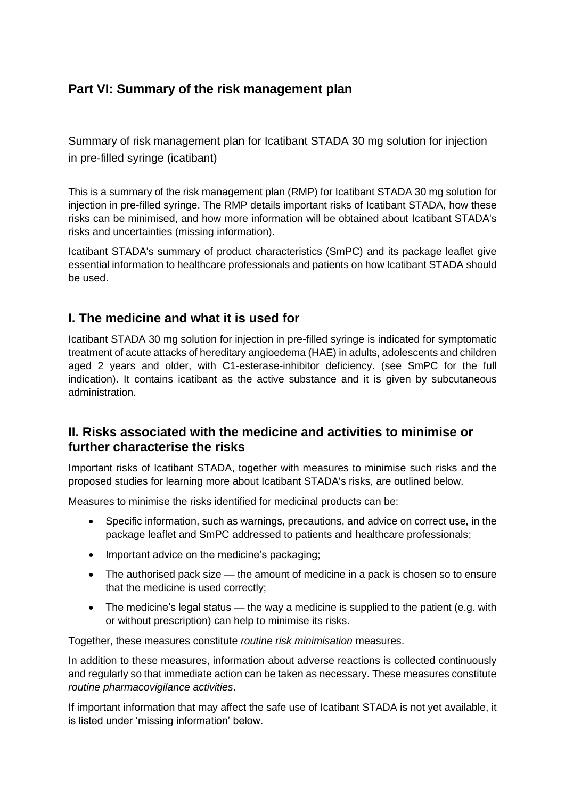# **Part VI: Summary of the risk management plan**

Summary of risk management plan for Icatibant STADA 30 mg solution for injection in pre-filled syringe (icatibant)

This is a summary of the risk management plan (RMP) for Icatibant STADA 30 mg solution for injection in pre-filled syringe. The RMP details important risks of Icatibant STADA, how these risks can be minimised, and how more information will be obtained about Icatibant STADA's risks and uncertainties (missing information).

Icatibant STADA's summary of product characteristics (SmPC) and its package leaflet give essential information to healthcare professionals and patients on how Icatibant STADA should be used.

## **I. The medicine and what it is used for**

Icatibant STADA 30 mg solution for injection in pre-filled syringe is indicated for symptomatic treatment of acute attacks of hereditary angioedema (HAE) in adults, adolescents and children aged 2 years and older, with C1-esterase-inhibitor deficiency. (see SmPC for the full indication). It contains icatibant as the active substance and it is given by subcutaneous administration.

### **II. Risks associated with the medicine and activities to minimise or further characterise the risks**

Important risks of Icatibant STADA, together with measures to minimise such risks and the proposed studies for learning more about Icatibant STADA's risks, are outlined below.

Measures to minimise the risks identified for medicinal products can be:

- Specific information, such as warnings, precautions, and advice on correct use, in the package leaflet and SmPC addressed to patients and healthcare professionals;
- Important advice on the medicine's packaging;
- The authorised pack size the amount of medicine in a pack is chosen so to ensure that the medicine is used correctly;
- The medicine's legal status the way a medicine is supplied to the patient (e.g. with or without prescription) can help to minimise its risks.

Together, these measures constitute *routine risk minimisation* measures.

In addition to these measures, information about adverse reactions is collected continuously and regularly so that immediate action can be taken as necessary. These measures constitute *routine pharmacovigilance activities*.

If important information that may affect the safe use of Icatibant STADA is not yet available, it is listed under 'missing information' below.